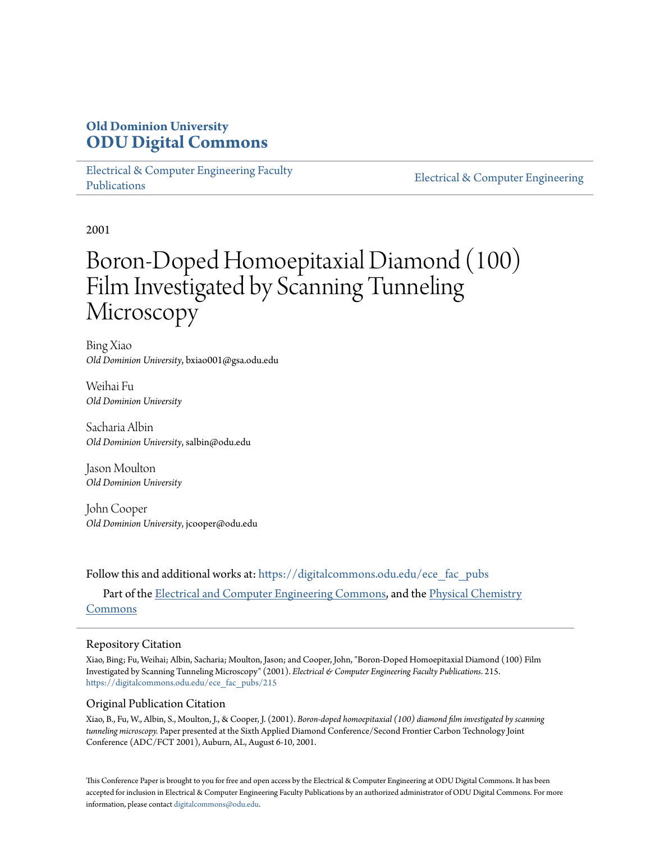# **Old Dominion University [ODU Digital Commons](https://digitalcommons.odu.edu?utm_source=digitalcommons.odu.edu%2Fece_fac_pubs%2F215&utm_medium=PDF&utm_campaign=PDFCoverPages)**

[Electrical & Computer Engineering Faculty](https://digitalcommons.odu.edu/ece_fac_pubs?utm_source=digitalcommons.odu.edu%2Fece_fac_pubs%2F215&utm_medium=PDF&utm_campaign=PDFCoverPages) [Publications](https://digitalcommons.odu.edu/ece_fac_pubs?utm_source=digitalcommons.odu.edu%2Fece_fac_pubs%2F215&utm_medium=PDF&utm_campaign=PDFCoverPages)

[Electrical & Computer Engineering](https://digitalcommons.odu.edu/ece?utm_source=digitalcommons.odu.edu%2Fece_fac_pubs%2F215&utm_medium=PDF&utm_campaign=PDFCoverPages)

2001

# Boron-Doped Homoepitaxial Diamond (100) Film Investigated by Scanning Tunneling Microscopy

Bing Xiao *Old Dominion University*, bxiao001@gsa.odu.edu

Weihai Fu *Old Dominion University*

Sacharia Albin *Old Dominion University*, salbin@odu.edu

Jason Moulton *Old Dominion University*

John Cooper *Old Dominion University*, jcooper@odu.edu

Follow this and additional works at: [https://digitalcommons.odu.edu/ece\\_fac\\_pubs](https://digitalcommons.odu.edu/ece_fac_pubs?utm_source=digitalcommons.odu.edu%2Fece_fac_pubs%2F215&utm_medium=PDF&utm_campaign=PDFCoverPages) Part of the [Electrical and Computer Engineering Commons](http://network.bepress.com/hgg/discipline/266?utm_source=digitalcommons.odu.edu%2Fece_fac_pubs%2F215&utm_medium=PDF&utm_campaign=PDFCoverPages), and the [Physical Chemistry](http://network.bepress.com/hgg/discipline/139?utm_source=digitalcommons.odu.edu%2Fece_fac_pubs%2F215&utm_medium=PDF&utm_campaign=PDFCoverPages) [Commons](http://network.bepress.com/hgg/discipline/139?utm_source=digitalcommons.odu.edu%2Fece_fac_pubs%2F215&utm_medium=PDF&utm_campaign=PDFCoverPages)

# Repository Citation

Xiao, Bing; Fu, Weihai; Albin, Sacharia; Moulton, Jason; and Cooper, John, "Boron-Doped Homoepitaxial Diamond (100) Film Investigated by Scanning Tunneling Microscopy" (2001). *Electrical & Computer Engineering Faculty Publications*. 215. [https://digitalcommons.odu.edu/ece\\_fac\\_pubs/215](https://digitalcommons.odu.edu/ece_fac_pubs/215?utm_source=digitalcommons.odu.edu%2Fece_fac_pubs%2F215&utm_medium=PDF&utm_campaign=PDFCoverPages)

# Original Publication Citation

Xiao, B., Fu, W., Albin, S., Moulton, J., & Cooper, J. (2001). *Boron-doped homoepitaxial (100) diamond film investigated by scanning tunneling microscopy.* Paper presented at the Sixth Applied Diamond Conference/Second Frontier Carbon Technology Joint Conference (ADC/FCT 2001), Auburn, AL, August 6-10, 2001.

This Conference Paper is brought to you for free and open access by the Electrical & Computer Engineering at ODU Digital Commons. It has been accepted for inclusion in Electrical & Computer Engineering Faculty Publications by an authorized administrator of ODU Digital Commons. For more information, please contact [digitalcommons@odu.edu](mailto:digitalcommons@odu.edu).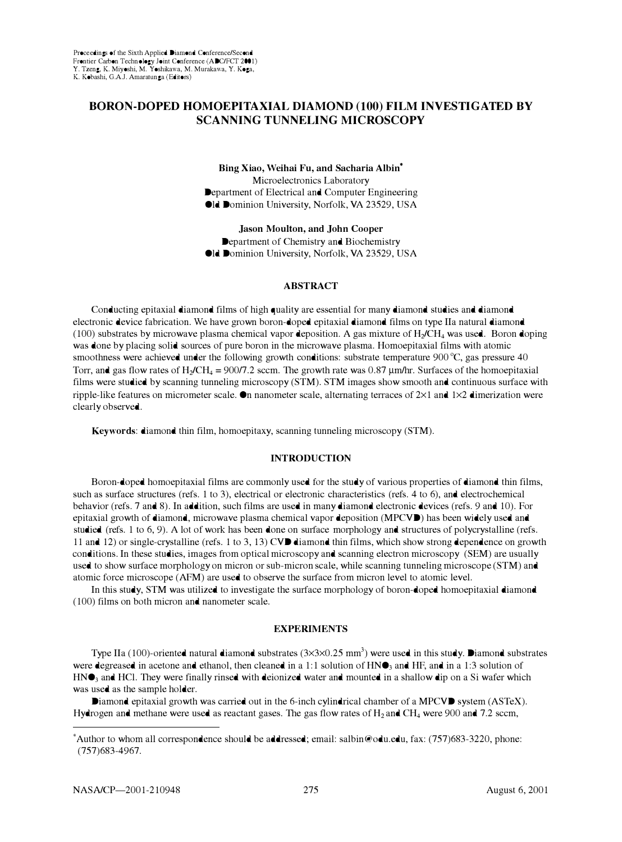# **BORON-DOPED HOMOEPITAXIAL DIAMOND (100) FILM INVESTIGATED BY SCANNING TUNNELING MICROSCOPY**

**Bing Xiao, Weihai Fu, and Sacharia Albin\***  Microelectronics Laboratory Department of Electrical and Computer Engineering Old Dominion University, Norfolk, VA 23529, USA

**Jason Moulton, and John Cooper**  Department of Chemistry and Biochemistry Old Dominion University, Norfolk, VA 23529, USA

## **ABSTRACT**

Conducting epitaxial diamond films of high quality are essential for many diamond studies and diamond electronic device fabrication. We have grown boron-doped epitaxial diamond films on type Ila natural diamond (100) substrates by microwave plasma chemical vapor deposition. A gas mixture of **Hi/CH**4 was used. Boron doping was done by placing solid sources of pure boron in the microwave plasma. Homoepitaxial films with atomic smoothness were achieved under the following growth conditions: substrate temperature 900 °C, gas pressure 40 Torr, and gas flow rates of H<sub>2</sub>/CH<sub>4</sub> = 900/7.2 sccm. The growth rate was 0.87 µm/hr. Surfaces of the homoepitaxial films were studied by scanning tunneling microscopy **(STM). STM** images show smooth and continuous surface with ripple-like features on micrometer scale. On nanometer scale, alternating terraces of  $2\times1$  and  $1\times2$  dimerization were clearly observed.

**Keywords:** diamond thin film, homoepitaxy, scanning tunneling microscopy **(STM).** 

# **INTRODUCTION**

Boron-doped homoepitaxial films are commonly used for the study of various properties of diamond thin films, such as surface structures (refs. 1 to 3), electrical or electronic characteristics (refs. 4 to 6), and electrochemical behavior (refs. 7 and 8). In addition, such films are used in many diamond electronic devices (refs. 9 and 10). For epitaxial growth of diamond, microwave plasma chemical vapor deposition **(MPCVD)** has been widely used and studied (refs. 1 to 6, 9). A lot of work has been done on surface morphology and structures of polycrystalline (refs. 11 and 12) or single-crystalline (refs. 1 to 3, 13) **CVD** diamond thin films, which show strong dependence on growth conditions. In these studies, images from optical microscopy and scanning electron microscopy **(SEM)** are usually used to show surface morphology on micron or sub-micron scale, while scanning tunneling microscope **(STM)** and atomic force microscope **(AFM)** are used to observe the surface from micron level to atomic level.

In this study, **STM** was utilized to investigate the surface morphology of boron-doped homoepitaxial diamond (100) films on both micron and nanometer scale.

### **EXPERIMENTS**

Type IIa (100)-oriented natural diamond substrates  $(3 \times 3 \times 0.25 \text{ mm}^3)$  were used in this study. Diamond substrates were degreased in acetone and ethanol, then cleaned in a 1:1 solution of  $HN\bullet_3$  and HF, and in a 1:3 solution of  $HN<sub>3</sub>$  and HCl. They were finally rinsed with deionized water and mounted in a shallow dip on a Si wafer which was used as the sample holder.

Diamond epitaxial growth was carried out in the 6-inch cylindrical chamber of a MPCVD system (ASTeX). Hydrogen and methane were used as reactant gases. The gas flow rates of **H**2 and **CH**4 were 900 and 7.2 seem,

<sup>\*</sup>Author to whom all correspondence should be addressed; email: salbin@odu.edu, fax: (757)683-3220, phone: (757)683-4967.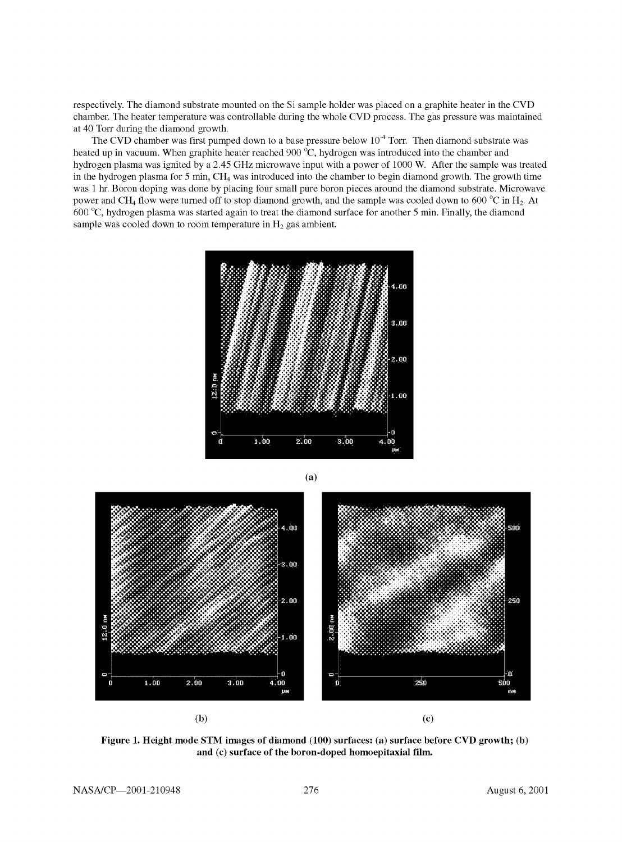respectively. The diamond substrate mounted on the Si sample holder was placed on a graphite heater in the CVD chamber. The heater temperature was controllable during the whole CVD process. The gas pressure was maintained at 40 Torr during the diamond growth.

The CVD chamber was first pumped down to a base pressure below  $10<sup>-4</sup>$  Torr. Then diamond substrate was heated up in vacuum. When graphite heater reached 900 **°C,** hydrogen was introduced into the chamber and hydrogen plasma was ignited by a 2.45 **GHz** microwave input with a power of 1000 **W.** After the sample was treated in the hydrogen plasma for 5 min, **CH4** was introduced into the chamber to begin diamond growth. The growth time was 1 hr. Boron doping was done by placing four small pure boron pieces around the diamond substrate. Microwave power and **CH4** flow were turned off to stop diamond growth, and the sample was cooled down to 600 **°C** in **H2.** At 600 **°C,** hydrogen plasma was started again to treat the diamond surface for another 5 min. Finally, the diamond sample was cooled down to room temperature in **H2** gas ambient.





**Figure 1. Height mode STM images of diamond (100) surfaces: (a) surface before CVD growth; (b) and (c) surface of the boron-doped homoepitaxial film.**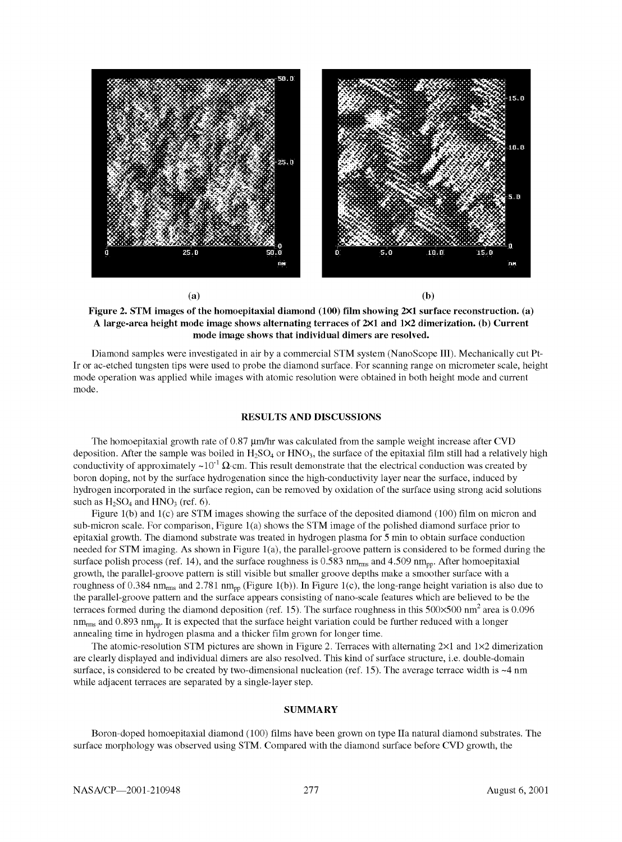

**Figure 2. STM images of the homoepitaxial diamond (100) film showing 2Xl surface reconstruction. (a) A large-area height mode image shows alternating terraces of 2Xl and 1X2 dimerization. (b) Current mode image shows that individual dimers are resolved.** 

Diamond samples were investigated in air by a commercial **STM** system (NanoScope III). Mechanically cut Pt-Ir or ac-etched tungsten tips were used to probe the diamond surface. For scanning range on micrometer scale, height mode operation was applied while images with atomic resolution were obtained in both height mode and current mode.

### **RESULTS AND DISCUSSIONS**

The homoepitaxial growth rate of  $0.87 \mu m/hr$  was calculated from the sample weight increase after CVD deposition. After the sample was boiled in **H2S04** or **HN03,** the surface of the epitaxial film still had a relatively high conductivity of approximately  $\sim 10^{-1} \Omega$  cm. This result demonstrate that the electrical conduction was created by boron doping, not by the surface hydrogenation since the high-conductivity layer near the surface, induced by hydrogen incorporated in the surface region, can be removed by oxidation of the surface using strong acid solutions such as  $H_2SO_4$  and  $HNO_3$  (ref. 6).

Figure l(b) and l(c) are **STM** images showing the surface of the deposited diamond (100) film on micron and sub-micron scale. For comparison, Figure l(a) shows the **STM** image of the polished diamond surface prior to epitaxial growth. The diamond substrate was treated in hydrogen plasma for 5 min to obtain surface conduction needed for **STM** imaging. As shown in Figure l(a), the parallel-groove pattern is considered to be formed during the surface polish process (ref. 14), and the surface roughness is 0.583 nm<sub>ms</sub> and 4.509 nm<sub>pp</sub>. After homoepitaxial growth, the parallel-groove pattern is still visible but smaller groove depths make a smoother surface with a roughness of 0.384 nm<sub>rms</sub> and 2.781 nm<sub>rp</sub> (Figure 1(b)). In Figure 1(c), the long-range height variation is also due to the parallel-groove pattern and the surface appears consisting of nano-scale features which are believed to be the terraces formed during the diamond deposition (ref. 15). The surface roughness in this  $500\times500$  nm<sup>2</sup> area is 0.096  $nm_{rms}$  and 0.893  $nm_{pp}$ . It is expected that the surface height variation could be further reduced with a longer annealing time in hydrogen plasma and a thicker film grown for longer time.

The atomic-resolution STM pictures are shown in Figure 2. Terraces with alternating  $2\times1$  and  $1\times2$  dimerization are clearly displayed and individual dimers are also resolved. This kind of surface structure, i.e. double-domain surface, is considered to be created by two-dimensional nucleation (ref. 15). The average terrace width is ~4 nm while adjacent terraces are separated by a single-layer step.

#### **SUMMARY**

Boron-doped homoepitaxial diamond (100) films have been grown on type Ila natural diamond substrates. The surface morphology was observed using STM. Compared with the diamond surface before CVD growth, the